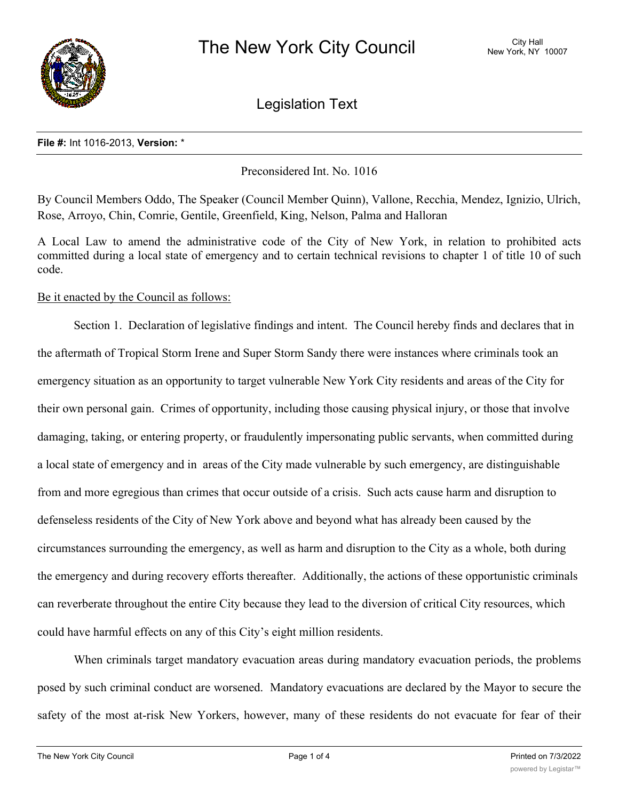

Legislation Text

## **File #:** Int 1016-2013, **Version:** \*

Preconsidered Int. No. 1016

By Council Members Oddo, The Speaker (Council Member Quinn), Vallone, Recchia, Mendez, Ignizio, Ulrich, Rose, Arroyo, Chin, Comrie, Gentile, Greenfield, King, Nelson, Palma and Halloran

A Local Law to amend the administrative code of the City of New York, in relation to prohibited acts committed during a local state of emergency and to certain technical revisions to chapter 1 of title 10 of such code.

# Be it enacted by the Council as follows:

Section 1. Declaration of legislative findings and intent. The Council hereby finds and declares that in the aftermath of Tropical Storm Irene and Super Storm Sandy there were instances where criminals took an emergency situation as an opportunity to target vulnerable New York City residents and areas of the City for their own personal gain. Crimes of opportunity, including those causing physical injury, or those that involve damaging, taking, or entering property, or fraudulently impersonating public servants, when committed during a local state of emergency and in areas of the City made vulnerable by such emergency, are distinguishable from and more egregious than crimes that occur outside of a crisis. Such acts cause harm and disruption to defenseless residents of the City of New York above and beyond what has already been caused by the circumstances surrounding the emergency, as well as harm and disruption to the City as a whole, both during the emergency and during recovery efforts thereafter. Additionally, the actions of these opportunistic criminals can reverberate throughout the entire City because they lead to the diversion of critical City resources, which could have harmful effects on any of this City's eight million residents.

When criminals target mandatory evacuation areas during mandatory evacuation periods, the problems posed by such criminal conduct are worsened. Mandatory evacuations are declared by the Mayor to secure the safety of the most at-risk New Yorkers, however, many of these residents do not evacuate for fear of their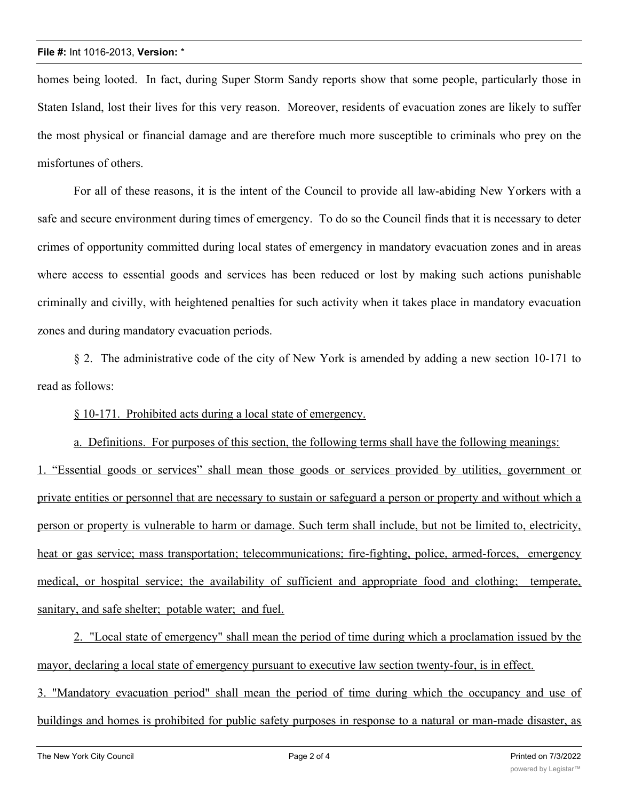### **File #:** Int 1016-2013, **Version:** \*

homes being looted. In fact, during Super Storm Sandy reports show that some people, particularly those in Staten Island, lost their lives for this very reason. Moreover, residents of evacuation zones are likely to suffer the most physical or financial damage and are therefore much more susceptible to criminals who prey on the misfortunes of others.

For all of these reasons, it is the intent of the Council to provide all law-abiding New Yorkers with a safe and secure environment during times of emergency. To do so the Council finds that it is necessary to deter crimes of opportunity committed during local states of emergency in mandatory evacuation zones and in areas where access to essential goods and services has been reduced or lost by making such actions punishable criminally and civilly, with heightened penalties for such activity when it takes place in mandatory evacuation zones and during mandatory evacuation periods.

§ 2. The administrative code of the city of New York is amended by adding a new section 10-171 to read as follows:

§ 10-171. Prohibited acts during a local state of emergency.

a. Definitions. For purposes of this section, the following terms shall have the following meanings: 1. "Essential goods or services" shall mean those goods or services provided by utilities, government or private entities or personnel that are necessary to sustain or safeguard a person or property and without which a person or property is vulnerable to harm or damage. Such term shall include, but not be limited to, electricity, heat or gas service; mass transportation; telecommunications; fire-fighting, police, armed-forces, emergency medical, or hospital service; the availability of sufficient and appropriate food and clothing; temperate, sanitary, and safe shelter; potable water; and fuel.

2. "Local state of emergency" shall mean the period of time during which a proclamation issued by the mayor, declaring a local state of emergency pursuant to executive law section twenty-four, is in effect. 3. "Mandatory evacuation period" shall mean the period of time during which the occupancy and use of buildings and homes is prohibited for public safety purposes in response to a natural or man-made disaster, as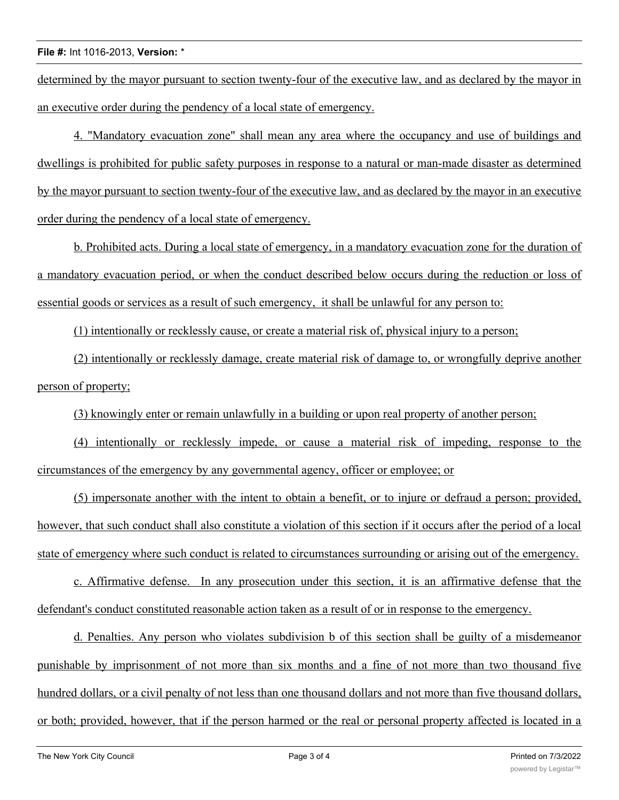### **File #:** Int 1016-2013, **Version:** \*

determined by the mayor pursuant to section twenty-four of the executive law, and as declared by the mayor in an executive order during the pendency of a local state of emergency.

4. "Mandatory evacuation zone" shall mean any area where the occupancy and use of buildings and dwellings is prohibited for public safety purposes in response to a natural or man-made disaster as determined by the mayor pursuant to section twenty-four of the executive law, and as declared by the mayor in an executive order during the pendency of a local state of emergency.

b. Prohibited acts. During a local state of emergency, in a mandatory evacuation zone for the duration of a mandatory evacuation period, or when the conduct described below occurs during the reduction or loss of essential goods or services as a result of such emergency, it shall be unlawful for any person to:

(1) intentionally or recklessly cause, or create a material risk of, physical injury to a person;

(2) intentionally or recklessly damage, create material risk of damage to, or wrongfully deprive another person of property;

(3) knowingly enter or remain unlawfully in a building or upon real property of another person;

(4) intentionally or recklessly impede, or cause a material risk of impeding, response to the circumstances of the emergency by any governmental agency, officer or employee; or

(5) impersonate another with the intent to obtain a benefit, or to injure or defraud a person; provided, however, that such conduct shall also constitute a violation of this section if it occurs after the period of a local state of emergency where such conduct is related to circumstances surrounding or arising out of the emergency.

c. Affirmative defense. In any prosecution under this section, it is an affirmative defense that the defendant's conduct constituted reasonable action taken as a result of or in response to the emergency.

d. Penalties. Any person who violates subdivision b of this section shall be guilty of a misdemeanor punishable by imprisonment of not more than six months and a fine of not more than two thousand five hundred dollars, or a civil penalty of not less than one thousand dollars and not more than five thousand dollars, or both; provided, however, that if the person harmed or the real or personal property affected is located in a